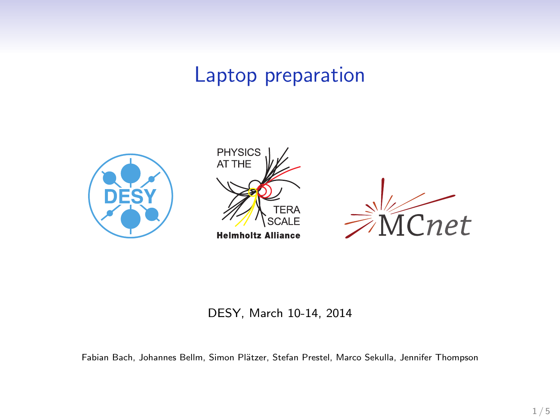# Laptop preparation



#### DESY, March 10-14, 2014

Fabian Bach, Johannes Bellm, Simon Plätzer, Stefan Prestel, Marco Sekulla, Jennifer Thompson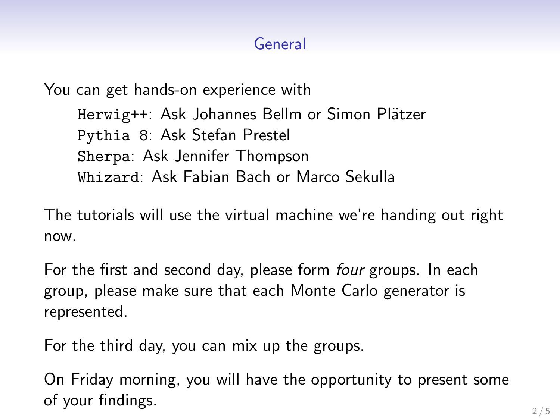# General

You can get hands-on experience with Herwig++: Ask Johannes Bellm or Simon Plätzer Pythia 8: Ask Stefan Prestel Sherpa: Ask Jennifer Thompson Whizard: Ask Fabian Bach or Marco Sekulla

The tutorials will use the virtual machine we're handing out right now.

For the first and second day, please form *four* groups. In each group, please make sure that each Monte Carlo generator is represented.

For the third day, you can mix up the groups.

On Friday morning, you will have the opportunity to present some of your findings.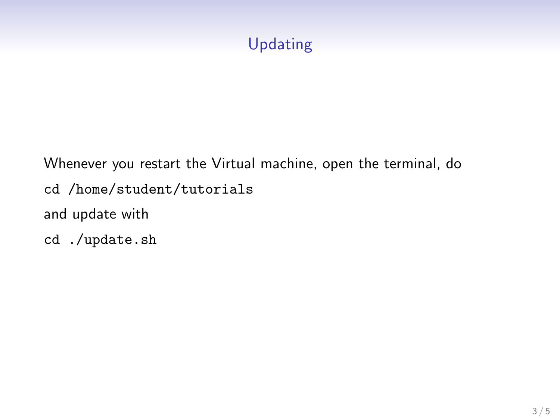# Updating

Whenever you restart the Virtual machine, open the terminal, do cd /home/student/tutorials and update with cd ./update.sh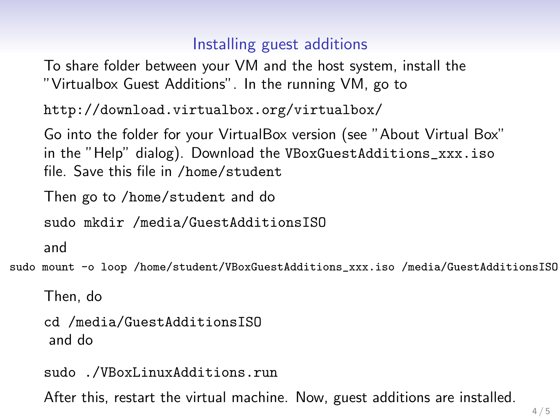## Installing guest additions

To share folder between your VM and the host system, install the "Virtualbox Guest Additions". In the running VM, go to

```
http://download.virtualbox.org/virtualbox/
```
Go into the folder for your VirtualBox version (see "About Virtual Box" in the "Help" dialog). Download the VBoxGuestAdditions\_xxx.iso file. Save this file in /home/student

Then go to /home/student and do

sudo mkdir /media/GuestAdditionsISO

and

sudo mount -o loop /home/student/VBoxGuestAdditions\_xxx.iso /media/GuestAdditionsISO

Then, do

```
cd /media/GuestAdditionsISO
and do
```
sudo ./VBoxLinuxAdditions.run

After this, restart the virtual machine. Now, guest additions are installed.